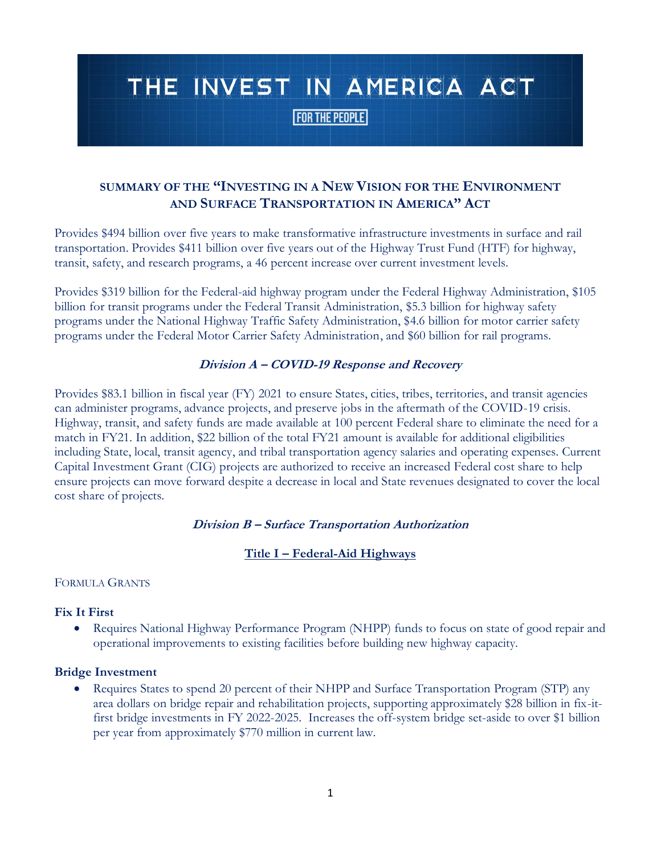# THE INVEST IN AMERICA ACT

**FOR THE PEOPLE** 

# **SUMMARY OF THE "INVESTING IN A NEW VISION FOR THE ENVIRONMENT AND SURFACE TRANSPORTATION IN AMERICA" ACT**

Provides \$494 billion over five years to make transformative infrastructure investments in surface and rail transportation. Provides \$411 billion over five years out of the Highway Trust Fund (HTF) for highway, transit, safety, and research programs, a 46 percent increase over current investment levels.

Provides \$319 billion for the Federal-aid highway program under the Federal Highway Administration, \$105 billion for transit programs under the Federal Transit Administration, \$5.3 billion for highway safety programs under the National Highway Traffic Safety Administration, \$4.6 billion for motor carrier safety programs under the Federal Motor Carrier Safety Administration, and \$60 billion for rail programs.

## **Division A – COVID-19 Response and Recovery**

Provides \$83.1 billion in fiscal year (FY) 2021 to ensure States, cities, tribes, territories, and transit agencies can administer programs, advance projects, and preserve jobs in the aftermath of the COVID-19 crisis. Highway, transit, and safety funds are made available at 100 percent Federal share to eliminate the need for a match in FY21. In addition, \$22 billion of the total FY21 amount is available for additional eligibilities including State, local, transit agency, and tribal transportation agency salaries and operating expenses. Current Capital Investment Grant (CIG) projects are authorized to receive an increased Federal cost share to help ensure projects can move forward despite a decrease in local and State revenues designated to cover the local cost share of projects.

## **Division B – Surface Transportation Authorization**

## **Title I – Federal-Aid Highways**

#### FORMULA GRANTS

## **Fix It First**

• Requires National Highway Performance Program (NHPP) funds to focus on state of good repair and operational improvements to existing facilities before building new highway capacity.

#### **Bridge Investment**

• Requires States to spend 20 percent of their NHPP and Surface Transportation Program (STP) any area dollars on bridge repair and rehabilitation projects, supporting approximately \$28 billion in fix-itfirst bridge investments in FY 2022-2025. Increases the off-system bridge set-aside to over \$1 billion per year from approximately \$770 million in current law.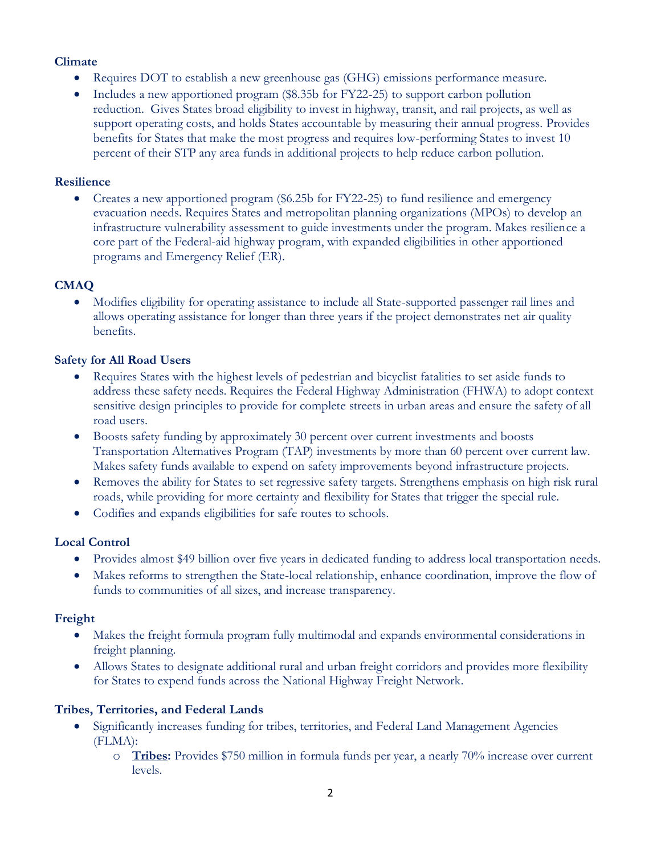## **Climate**

- Requires DOT to establish a new greenhouse gas (GHG) emissions performance measure.
- Includes a new apportioned program (\$8.35b for FY22-25) to support carbon pollution reduction. Gives States broad eligibility to invest in highway, transit, and rail projects, as well as support operating costs, and holds States accountable by measuring their annual progress. Provides benefits for States that make the most progress and requires low-performing States to invest 10 percent of their STP any area funds in additional projects to help reduce carbon pollution.

#### **Resilience**

• Creates a new apportioned program (\$6.25b for FY22-25) to fund resilience and emergency evacuation needs. Requires States and metropolitan planning organizations (MPOs) to develop an infrastructure vulnerability assessment to guide investments under the program. Makes resilience a core part of the Federal-aid highway program, with expanded eligibilities in other apportioned programs and Emergency Relief (ER).

## **CMAQ**

• Modifies eligibility for operating assistance to include all State-supported passenger rail lines and allows operating assistance for longer than three years if the project demonstrates net air quality benefits.

## **Safety for All Road Users**

- Requires States with the highest levels of pedestrian and bicyclist fatalities to set aside funds to address these safety needs. Requires the Federal Highway Administration (FHWA) to adopt context sensitive design principles to provide for complete streets in urban areas and ensure the safety of all road users.
- Boosts safety funding by approximately 30 percent over current investments and boosts Transportation Alternatives Program (TAP) investments by more than 60 percent over current law. Makes safety funds available to expend on safety improvements beyond infrastructure projects.
- Removes the ability for States to set regressive safety targets. Strengthens emphasis on high risk rural roads, while providing for more certainty and flexibility for States that trigger the special rule.
- Codifies and expands eligibilities for safe routes to schools.

## **Local Control**

- Provides almost \$49 billion over five years in dedicated funding to address local transportation needs.
- Makes reforms to strengthen the State-local relationship, enhance coordination, improve the flow of funds to communities of all sizes, and increase transparency.

## **Freight**

- Makes the freight formula program fully multimodal and expands environmental considerations in freight planning.
- Allows States to designate additional rural and urban freight corridors and provides more flexibility for States to expend funds across the National Highway Freight Network.

## **Tribes, Territories, and Federal Lands**

- Significantly increases funding for tribes, territories, and Federal Land Management Agencies (FLMA):
	- o **Tribes:** Provides \$750 million in formula funds per year, a nearly 70% increase over current levels.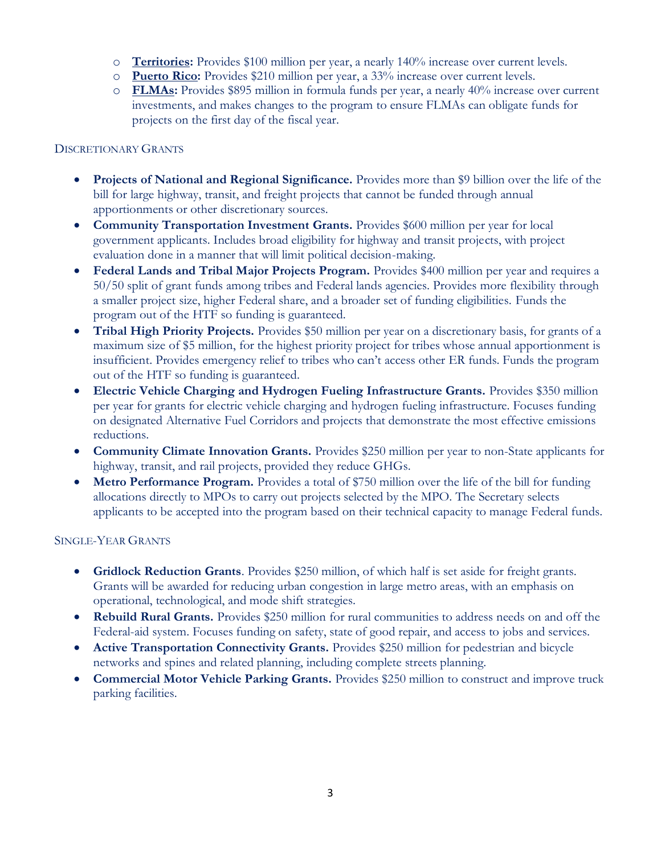- o **Territories:** Provides \$100 million per year, a nearly 140% increase over current levels.
- o **Puerto Rico:** Provides \$210 million per year, a 33% increase over current levels.
- o **FLMAs:** Provides \$895 million in formula funds per year, a nearly 40% increase over current investments, and makes changes to the program to ensure FLMAs can obligate funds for projects on the first day of the fiscal year.

#### DISCRETIONARY GRANTS

- **Projects of National and Regional Significance.** Provides more than \$9 billion over the life of the bill for large highway, transit, and freight projects that cannot be funded through annual apportionments or other discretionary sources.
- **Community Transportation Investment Grants.** Provides \$600 million per year for local government applicants. Includes broad eligibility for highway and transit projects, with project evaluation done in a manner that will limit political decision-making.
- **Federal Lands and Tribal Major Projects Program.** Provides \$400 million per year and requires a 50/50 split of grant funds among tribes and Federal lands agencies. Provides more flexibility through a smaller project size, higher Federal share, and a broader set of funding eligibilities. Funds the program out of the HTF so funding is guaranteed.
- **Tribal High Priority Projects.** Provides \$50 million per year on a discretionary basis, for grants of a maximum size of \$5 million, for the highest priority project for tribes whose annual apportionment is insufficient. Provides emergency relief to tribes who can't access other ER funds. Funds the program out of the HTF so funding is guaranteed.
- **Electric Vehicle Charging and Hydrogen Fueling Infrastructure Grants.** Provides \$350 million per year for grants for electric vehicle charging and hydrogen fueling infrastructure. Focuses funding on designated Alternative Fuel Corridors and projects that demonstrate the most effective emissions reductions.
- **Community Climate Innovation Grants.** Provides \$250 million per year to non-State applicants for highway, transit, and rail projects, provided they reduce GHGs.
- **Metro Performance Program.** Provides a total of \$750 million over the life of the bill for funding allocations directly to MPOs to carry out projects selected by the MPO. The Secretary selects applicants to be accepted into the program based on their technical capacity to manage Federal funds.

#### SINGLE-YEAR GRANTS

- **Gridlock Reduction Grants**. Provides \$250 million, of which half is set aside for freight grants. Grants will be awarded for reducing urban congestion in large metro areas, with an emphasis on operational, technological, and mode shift strategies.
- **Rebuild Rural Grants.** Provides \$250 million for rural communities to address needs on and off the Federal-aid system. Focuses funding on safety, state of good repair, and access to jobs and services.
- **Active Transportation Connectivity Grants.** Provides \$250 million for pedestrian and bicycle networks and spines and related planning, including complete streets planning.
- **Commercial Motor Vehicle Parking Grants.** Provides \$250 million to construct and improve truck parking facilities.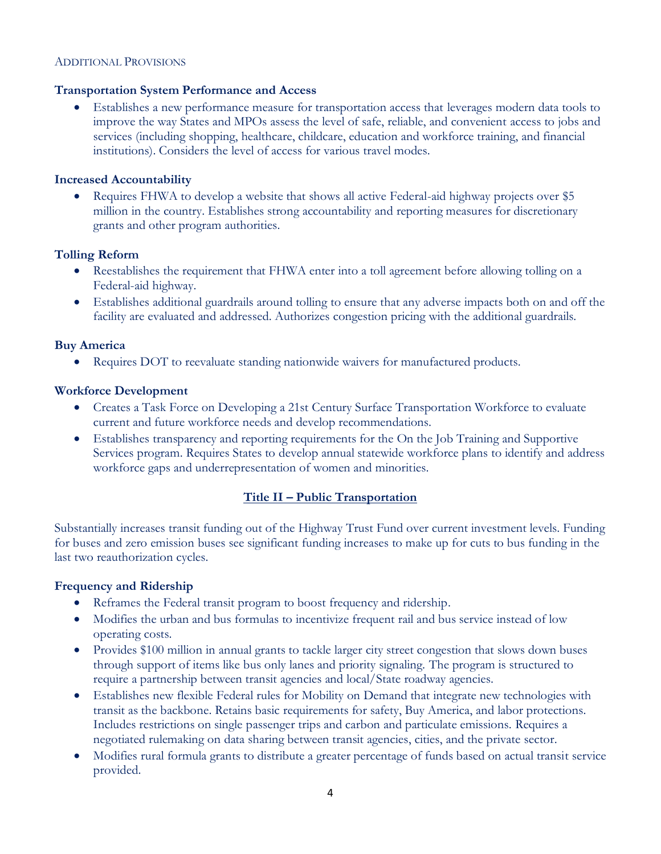#### ADDITIONAL PROVISIONS

#### **Transportation System Performance and Access**

• Establishes a new performance measure for transportation access that leverages modern data tools to improve the way States and MPOs assess the level of safe, reliable, and convenient access to jobs and services (including shopping, healthcare, childcare, education and workforce training, and financial institutions). Considers the level of access for various travel modes.

#### **Increased Accountability**

• Requires FHWA to develop a website that shows all active Federal-aid highway projects over \$5 million in the country. Establishes strong accountability and reporting measures for discretionary grants and other program authorities.

#### **Tolling Reform**

- Reestablishes the requirement that FHWA enter into a toll agreement before allowing tolling on a Federal-aid highway.
- Establishes additional guardrails around tolling to ensure that any adverse impacts both on and off the facility are evaluated and addressed. Authorizes congestion pricing with the additional guardrails.

#### **Buy America**

• Requires DOT to reevaluate standing nationwide waivers for manufactured products.

#### **Workforce Development**

- Creates a Task Force on Developing a 21st Century Surface Transportation Workforce to evaluate current and future workforce needs and develop recommendations.
- Establishes transparency and reporting requirements for the On the Job Training and Supportive Services program. Requires States to develop annual statewide workforce plans to identify and address workforce gaps and underrepresentation of women and minorities.

## **Title II – Public Transportation**

Substantially increases transit funding out of the Highway Trust Fund over current investment levels. Funding for buses and zero emission buses see significant funding increases to make up for cuts to bus funding in the last two reauthorization cycles.

#### **Frequency and Ridership**

- Reframes the Federal transit program to boost frequency and ridership.
- Modifies the urban and bus formulas to incentivize frequent rail and bus service instead of low operating costs.
- Provides \$100 million in annual grants to tackle larger city street congestion that slows down buses through support of items like bus only lanes and priority signaling. The program is structured to require a partnership between transit agencies and local/State roadway agencies.
- Establishes new flexible Federal rules for Mobility on Demand that integrate new technologies with transit as the backbone. Retains basic requirements for safety, Buy America, and labor protections. Includes restrictions on single passenger trips and carbon and particulate emissions. Requires a negotiated rulemaking on data sharing between transit agencies, cities, and the private sector.
- Modifies rural formula grants to distribute a greater percentage of funds based on actual transit service provided.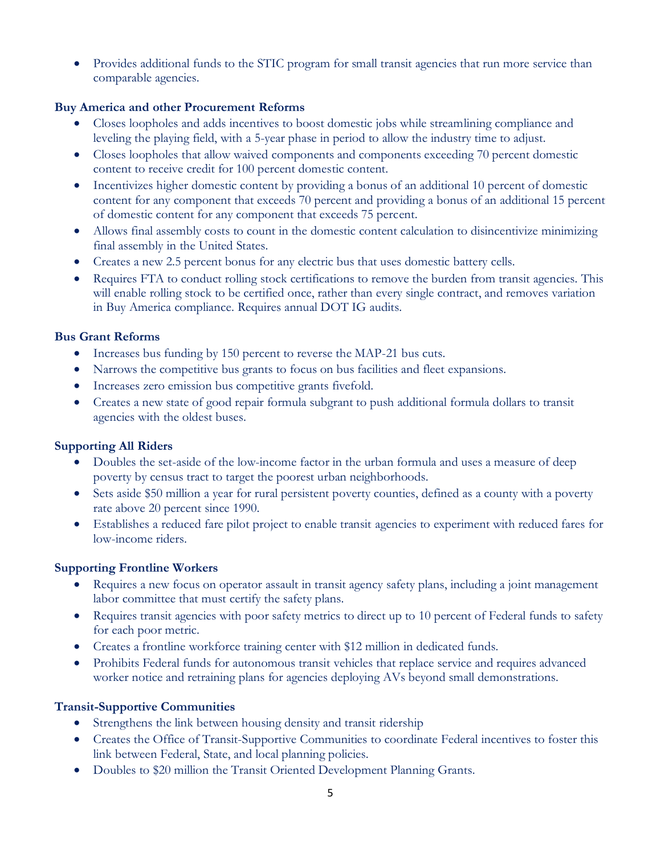• Provides additional funds to the STIC program for small transit agencies that run more service than comparable agencies.

# **Buy America and other Procurement Reforms**

- Closes loopholes and adds incentives to boost domestic jobs while streamlining compliance and leveling the playing field, with a 5-year phase in period to allow the industry time to adjust.
- Closes loopholes that allow waived components and components exceeding 70 percent domestic content to receive credit for 100 percent domestic content.
- Incentivizes higher domestic content by providing a bonus of an additional 10 percent of domestic content for any component that exceeds 70 percent and providing a bonus of an additional 15 percent of domestic content for any component that exceeds 75 percent.
- Allows final assembly costs to count in the domestic content calculation to disincentivize minimizing final assembly in the United States.
- Creates a new 2.5 percent bonus for any electric bus that uses domestic battery cells.
- Requires FTA to conduct rolling stock certifications to remove the burden from transit agencies. This will enable rolling stock to be certified once, rather than every single contract, and removes variation in Buy America compliance. Requires annual DOT IG audits.

## **Bus Grant Reforms**

- Increases bus funding by 150 percent to reverse the MAP-21 bus cuts.
- Narrows the competitive bus grants to focus on bus facilities and fleet expansions.
- Increases zero emission bus competitive grants fivefold.
- Creates a new state of good repair formula subgrant to push additional formula dollars to transit agencies with the oldest buses.

## **Supporting All Riders**

- Doubles the set-aside of the low-income factor in the urban formula and uses a measure of deep poverty by census tract to target the poorest urban neighborhoods.
- Sets aside \$50 million a year for rural persistent poverty counties, defined as a county with a poverty rate above 20 percent since 1990.
- Establishes a reduced fare pilot project to enable transit agencies to experiment with reduced fares for low-income riders.

## **Supporting Frontline Workers**

- Requires a new focus on operator assault in transit agency safety plans, including a joint management labor committee that must certify the safety plans.
- Requires transit agencies with poor safety metrics to direct up to 10 percent of Federal funds to safety for each poor metric.
- Creates a frontline workforce training center with \$12 million in dedicated funds.
- Prohibits Federal funds for autonomous transit vehicles that replace service and requires advanced worker notice and retraining plans for agencies deploying AVs beyond small demonstrations.

# **Transit-Supportive Communities**

- Strengthens the link between housing density and transit ridership
- Creates the Office of Transit-Supportive Communities to coordinate Federal incentives to foster this link between Federal, State, and local planning policies.
- Doubles to \$20 million the Transit Oriented Development Planning Grants.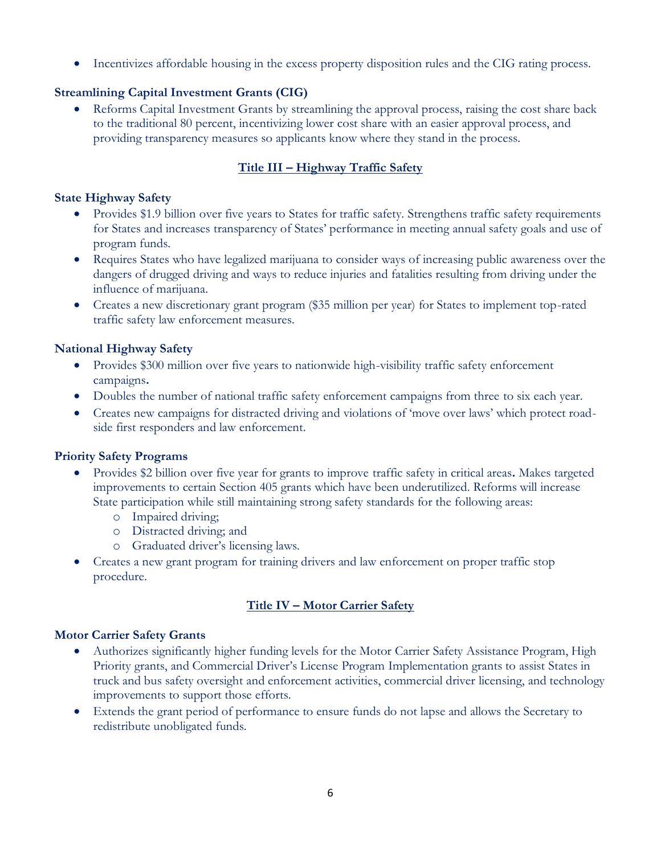• Incentivizes affordable housing in the excess property disposition rules and the CIG rating process.

# **Streamlining Capital Investment Grants (CIG)**

• Reforms Capital Investment Grants by streamlining the approval process, raising the cost share back to the traditional 80 percent, incentivizing lower cost share with an easier approval process, and providing transparency measures so applicants know where they stand in the process.

# **Title III – Highway Traffic Safety**

## **State Highway Safety**

- Provides \$1.9 billion over five years to States for traffic safety. Strengthens traffic safety requirements for States and increases transparency of States' performance in meeting annual safety goals and use of program funds.
- Requires States who have legalized marijuana to consider ways of increasing public awareness over the dangers of drugged driving and ways to reduce injuries and fatalities resulting from driving under the influence of marijuana.
- Creates a new discretionary grant program (\$35 million per year) for States to implement top-rated traffic safety law enforcement measures.

## **National Highway Safety**

- Provides \$300 million over five years to nationwide high-visibility traffic safety enforcement campaigns**.**
- Doubles the number of national traffic safety enforcement campaigns from three to six each year.
- Creates new campaigns for distracted driving and violations of 'move over laws' which protect roadside first responders and law enforcement.

## **Priority Safety Programs**

- Provides \$2 billion over five year for grants to improve traffic safety in critical areas**.** Makes targeted improvements to certain Section 405 grants which have been underutilized. Reforms will increase State participation while still maintaining strong safety standards for the following areas:
	- o Impaired driving;
	- o Distracted driving; and
	- o Graduated driver's licensing laws.
- Creates a new grant program for training drivers and law enforcement on proper traffic stop procedure.

# **Title IV – Motor Carrier Safety**

## **Motor Carrier Safety Grants**

- Authorizes significantly higher funding levels for the Motor Carrier Safety Assistance Program, High Priority grants, and Commercial Driver's License Program Implementation grants to assist States in truck and bus safety oversight and enforcement activities, commercial driver licensing, and technology improvements to support those efforts.
- Extends the grant period of performance to ensure funds do not lapse and allows the Secretary to redistribute unobligated funds.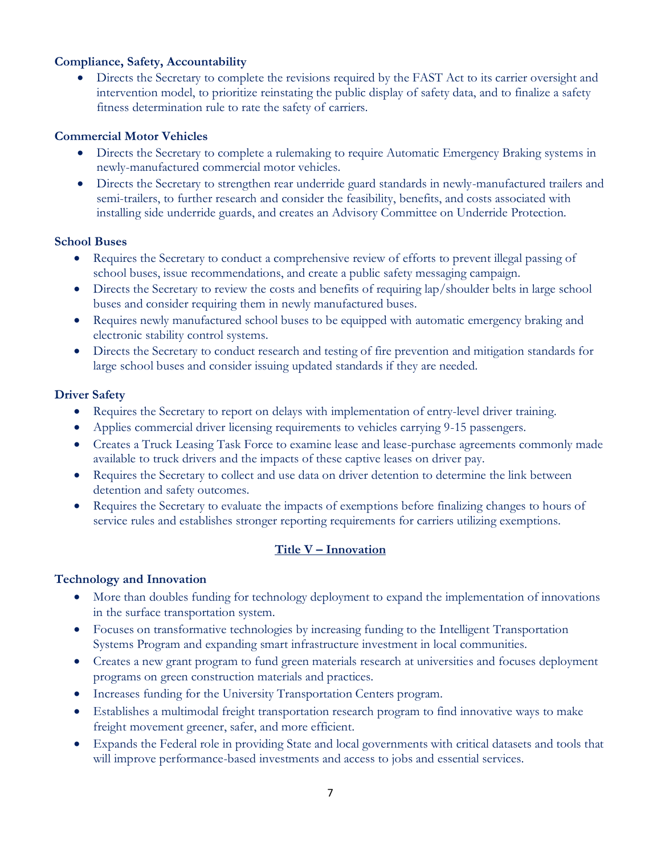## **Compliance, Safety, Accountability**

• Directs the Secretary to complete the revisions required by the FAST Act to its carrier oversight and intervention model, to prioritize reinstating the public display of safety data, and to finalize a safety fitness determination rule to rate the safety of carriers.

## **Commercial Motor Vehicles**

- Directs the Secretary to complete a rulemaking to require Automatic Emergency Braking systems in newly-manufactured commercial motor vehicles.
- Directs the Secretary to strengthen rear underride guard standards in newly-manufactured trailers and semi-trailers, to further research and consider the feasibility, benefits, and costs associated with installing side underride guards, and creates an Advisory Committee on Underride Protection.

## **School Buses**

- Requires the Secretary to conduct a comprehensive review of efforts to prevent illegal passing of school buses, issue recommendations, and create a public safety messaging campaign.
- Directs the Secretary to review the costs and benefits of requiring lap/shoulder belts in large school buses and consider requiring them in newly manufactured buses.
- Requires newly manufactured school buses to be equipped with automatic emergency braking and electronic stability control systems.
- Directs the Secretary to conduct research and testing of fire prevention and mitigation standards for large school buses and consider issuing updated standards if they are needed.

## **Driver Safety**

- Requires the Secretary to report on delays with implementation of entry-level driver training.
- Applies commercial driver licensing requirements to vehicles carrying 9-15 passengers.
- Creates a Truck Leasing Task Force to examine lease and lease-purchase agreements commonly made available to truck drivers and the impacts of these captive leases on driver pay.
- Requires the Secretary to collect and use data on driver detention to determine the link between detention and safety outcomes.
- Requires the Secretary to evaluate the impacts of exemptions before finalizing changes to hours of service rules and establishes stronger reporting requirements for carriers utilizing exemptions.

# **Title V – Innovation**

## **Technology and Innovation**

- More than doubles funding for technology deployment to expand the implementation of innovations in the surface transportation system.
- Focuses on transformative technologies by increasing funding to the Intelligent Transportation Systems Program and expanding smart infrastructure investment in local communities.
- Creates a new grant program to fund green materials research at universities and focuses deployment programs on green construction materials and practices.
- Increases funding for the University Transportation Centers program.
- Establishes a multimodal freight transportation research program to find innovative ways to make freight movement greener, safer, and more efficient.
- Expands the Federal role in providing State and local governments with critical datasets and tools that will improve performance-based investments and access to jobs and essential services.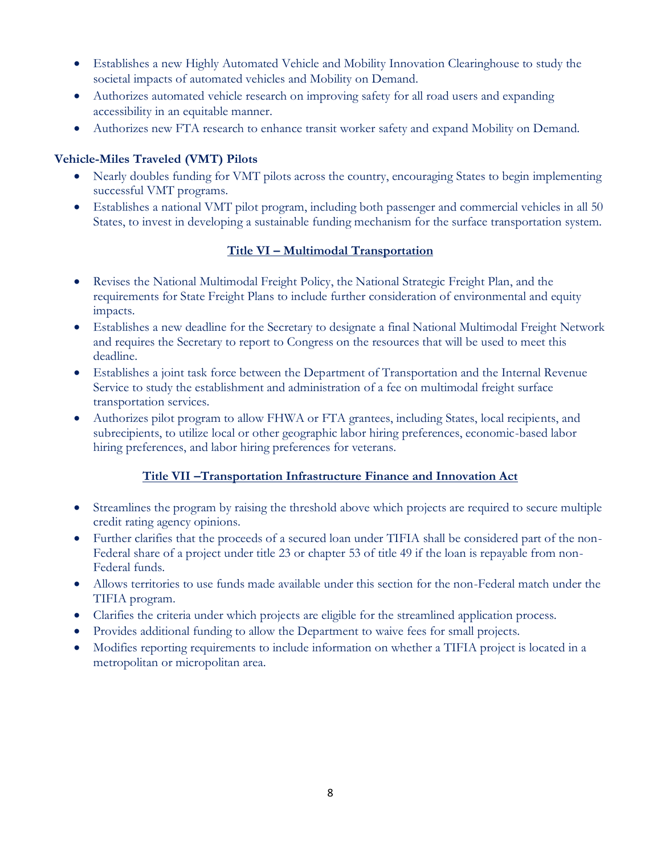- Establishes a new Highly Automated Vehicle and Mobility Innovation Clearinghouse to study the societal impacts of automated vehicles and Mobility on Demand.
- Authorizes automated vehicle research on improving safety for all road users and expanding accessibility in an equitable manner.
- Authorizes new FTA research to enhance transit worker safety and expand Mobility on Demand.

# **Vehicle-Miles Traveled (VMT) Pilots**

- Nearly doubles funding for VMT pilots across the country, encouraging States to begin implementing successful VMT programs.
- Establishes a national VMT pilot program, including both passenger and commercial vehicles in all 50 States, to invest in developing a sustainable funding mechanism for the surface transportation system.

# **Title VI – Multimodal Transportation**

- Revises the National Multimodal Freight Policy, the National Strategic Freight Plan, and the requirements for State Freight Plans to include further consideration of environmental and equity impacts.
- Establishes a new deadline for the Secretary to designate a final National Multimodal Freight Network and requires the Secretary to report to Congress on the resources that will be used to meet this deadline.
- Establishes a joint task force between the Department of Transportation and the Internal Revenue Service to study the establishment and administration of a fee on multimodal freight surface transportation services.
- Authorizes pilot program to allow FHWA or FTA grantees, including States, local recipients, and subrecipients, to utilize local or other geographic labor hiring preferences, economic-based labor hiring preferences, and labor hiring preferences for veterans.

# **Title VII –Transportation Infrastructure Finance and Innovation Act**

- Streamlines the program by raising the threshold above which projects are required to secure multiple credit rating agency opinions.
- Further clarifies that the proceeds of a secured loan under TIFIA shall be considered part of the non-Federal share of a project under title 23 or chapter 53 of title 49 if the loan is repayable from non-Federal funds.
- Allows territories to use funds made available under this section for the non-Federal match under the TIFIA program.
- Clarifies the criteria under which projects are eligible for the streamlined application process.
- Provides additional funding to allow the Department to waive fees for small projects.
- Modifies reporting requirements to include information on whether a TIFIA project is located in a metropolitan or micropolitan area.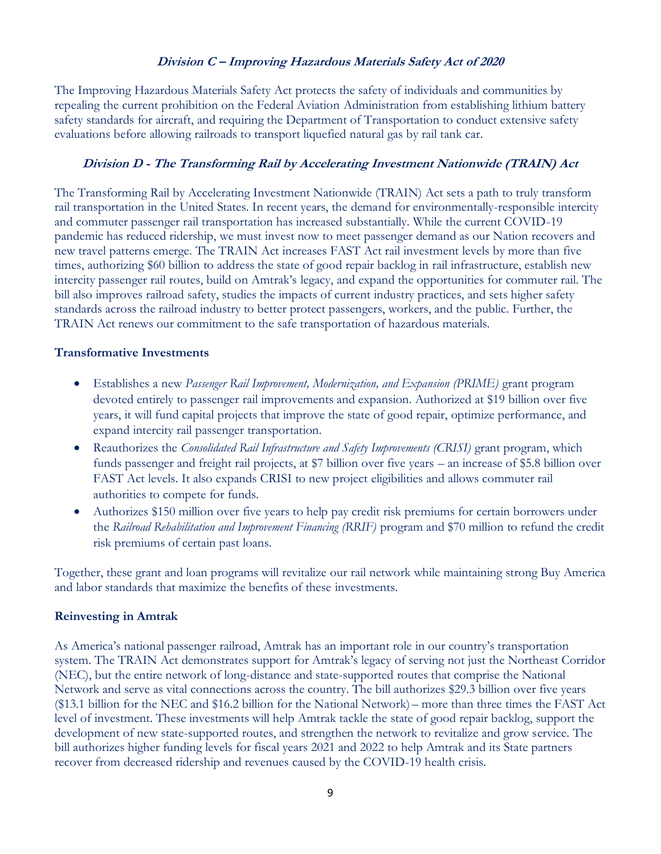#### **Division C – Improving Hazardous Materials Safety Act of 2020**

The Improving Hazardous Materials Safety Act protects the safety of individuals and communities by repealing the current prohibition on the Federal Aviation Administration from establishing lithium battery safety standards for aircraft, and requiring the Department of Transportation to conduct extensive safety evaluations before allowing railroads to transport liquefied natural gas by rail tank car.

#### **Division D - The Transforming Rail by Accelerating Investment Nationwide (TRAIN) Act**

The Transforming Rail by Accelerating Investment Nationwide (TRAIN) Act sets a path to truly transform rail transportation in the United States. In recent years, the demand for environmentally-responsible intercity and commuter passenger rail transportation has increased substantially. While the current COVID-19 pandemic has reduced ridership, we must invest now to meet passenger demand as our Nation recovers and new travel patterns emerge. The TRAIN Act increases FAST Act rail investment levels by more than five times, authorizing \$60 billion to address the state of good repair backlog in rail infrastructure, establish new intercity passenger rail routes, build on Amtrak's legacy, and expand the opportunities for commuter rail. The bill also improves railroad safety, studies the impacts of current industry practices, and sets higher safety standards across the railroad industry to better protect passengers, workers, and the public. Further, the TRAIN Act renews our commitment to the safe transportation of hazardous materials.

#### **Transformative Investments**

- Establishes a new *Passenger Rail Improvement, Modernization, and Expansion (PRIME)* grant program devoted entirely to passenger rail improvements and expansion. Authorized at \$19 billion over five years, it will fund capital projects that improve the state of good repair, optimize performance, and expand intercity rail passenger transportation.
- Reauthorizes the *Consolidated Rail Infrastructure and Safety Improvements (CRISI)* grant program, which funds passenger and freight rail projects, at \$7 billion over five years – an increase of \$5.8 billion over FAST Act levels. It also expands CRISI to new project eligibilities and allows commuter rail authorities to compete for funds.
- Authorizes \$150 million over five years to help pay credit risk premiums for certain borrowers under the *Railroad Rehabilitation and Improvement Financing (RRIF)* program and \$70 million to refund the credit risk premiums of certain past loans.

Together, these grant and loan programs will revitalize our rail network while maintaining strong Buy America and labor standards that maximize the benefits of these investments.

#### **Reinvesting in Amtrak**

As America's national passenger railroad, Amtrak has an important role in our country's transportation system. The TRAIN Act demonstrates support for Amtrak's legacy of serving not just the Northeast Corridor (NEC), but the entire network of long-distance and state-supported routes that comprise the National Network and serve as vital connections across the country. The bill authorizes \$29.3 billion over five years (\$13.1 billion for the NEC and \$16.2 billion for the National Network) – more than three times the FAST Act level of investment. These investments will help Amtrak tackle the state of good repair backlog, support the development of new state-supported routes, and strengthen the network to revitalize and grow service. The bill authorizes higher funding levels for fiscal years 2021 and 2022 to help Amtrak and its State partners recover from decreased ridership and revenues caused by the COVID-19 health crisis.